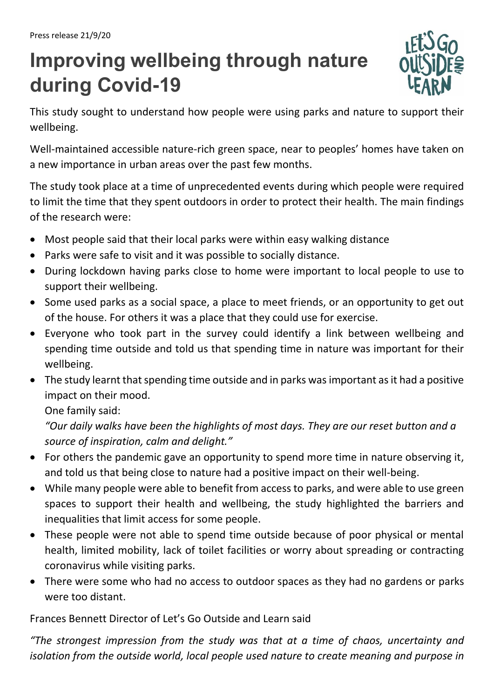## **Improving wellbeing through nature during Covid-19**



This study sought to understand how people were using parks and nature to support their wellbeing.

Well-maintained accessible nature-rich green space, near to peoples' homes have taken on a new importance in urban areas over the past few months.

The study took place at a time of unprecedented events during which people were required to limit the time that they spent outdoors in order to protect their health. The main findings of the research were:

- Most people said that their local parks were within easy walking distance
- Parks were safe to visit and it was possible to socially distance.
- During lockdown having parks close to home were important to local people to use to support their wellbeing.
- Some used parks as a social space, a place to meet friends, or an opportunity to get out of the house. For others it was a place that they could use for exercise.
- Everyone who took part in the survey could identify a link between wellbeing and spending time outside and told us that spending time in nature was important for their wellbeing.
- The study learnt that spending time outside and in parks was important as it had a positive impact on their mood.

One family said:

*"Our daily walks have been the highlights of most days. They are our reset button and a source of inspiration, calm and delight."*

- For others the pandemic gave an opportunity to spend more time in nature observing it, and told us that being close to nature had a positive impact on their well-being.
- While many people were able to benefit from access to parks, and were able to use green spaces to support their health and wellbeing, the study highlighted the barriers and inequalities that limit access for some people.
- These people were not able to spend time outside because of poor physical or mental health, limited mobility, lack of toilet facilities or worry about spreading or contracting coronavirus while visiting parks.
- There were some who had no access to outdoor spaces as they had no gardens or parks were too distant.

Frances Bennett Director of Let's Go Outside and Learn said

*"The strongest impression from the study was that at a time of chaos, uncertainty and isolation from the outside world, local people used nature to create meaning and purpose in*